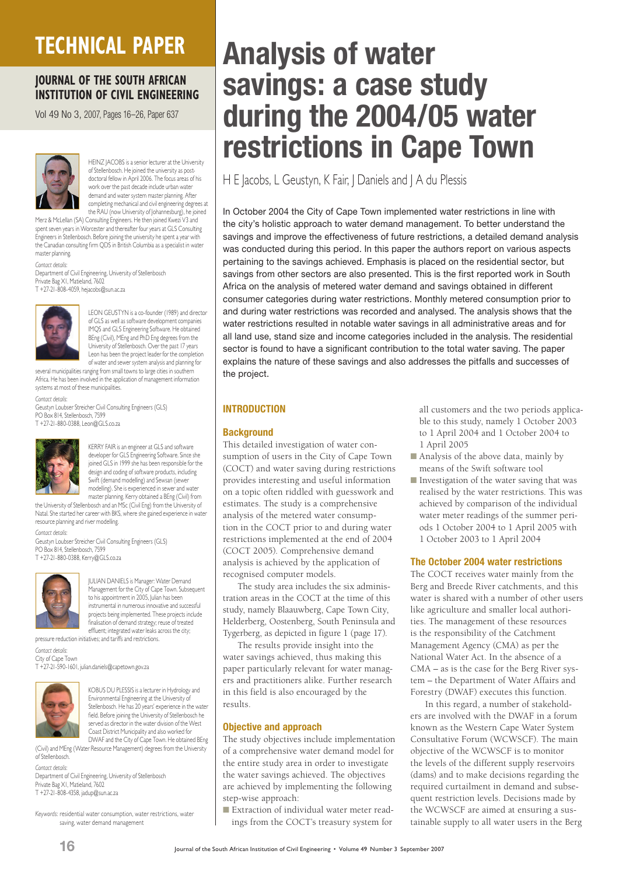## **TECHNICAL PAPER**

## **JOURNAL OF THE SOUTH AFRICAN INSTITUTION OF CIVIL ENGINEERING**

Vol 49 No 3, 2007, Pages 16–26, Paper 637



HEINZ JACOBS is a senior lecturer at the University of Stellenbosch. He joined the university as postdoctoral fellow in April 2006. The focus areas of his work over the past decade include urban water demand and water system master planning. After completing mechanical and civil engineering degrees at the RAU (now University of Johannesburg), he joined

Merz & McLellan (SA) Consulting Engineers. He then joined Kwezi V3 and spent seven years in Worcester and thereafter four years at GLS Consulting Engineers in Stellenbosch. Before joining the university he spent a year with the Canadian consulting firm QDS in British Columbia as a specialist in water master planning.

*Contact details:*

Department of Civil Engineering, University of Stellenbosch Private Bag XI, Matieland, 7602

T +27-21-808-4059, hejacobs@sun.ac.za



LEON GEUSTYN is a co-founder (1989) and director of GLS as well as software development companies IMQS and GLS Engineering Software. He obtained BEng (Civil), MEng and PhD Eng degrees from the University of Stellenbosch. Over the past 17 years Leon has been the project leader for the completion

of water and sewer system analysis and planning for several municipalities ranging from small towns to large cities in southern Africa. He has been involved in the application of management information systems at most of these municipalities.

*Contact details:* Geustyn Loubser Streicher Civil Consulting Engineers (GLS) PO Box 814, Stellenbosch, 7599 T +27-21-880-0388, Leon@GLS.co.za



 KERRY FAIR is an engineer at GLS and software developer for GLS Engineering Software. Since she joined GLS in 1999 she has been responsible for the design and coding of software products, including Swift (demand modelling) and Sewsan (sewer modelling). She is experienced in sewer and water master planning. Kerry obtained a BEng (Civil) from

the University of Stellenbosch and an MSc (Civil Eng) from the University of Natal. She started her career with BKS, where she gained experience in water

resource planning and river modelling. *Contact details:* Geustyn Loubser Streicher Civil Consulting Engineers (GLS)

PO Box 814, Stellenbosch, 7599 T +27-21-880-0388, Kerry@GLS.co.za



 JULIAN DANIELS is Manager: Water Demand Management for the City of Cape Town. Subsequent to his appointment in 2005, Julian has been instrumental in numerous innovative and successful projects being implemented. These projects include finalisation of demand strategy; reuse of treated effluent; integrated water leaks across the city;

pressure reduction initiatives; and tariffs and restrictions.

*Contact details:*

City of Cape Town T +27-21-590-1601, julian.daniels@capetown.gov.za



KOBUS DU PLESSIS is a lecturer in Hydrology and Environmental Engineering at the University of Stellenbosch. He has 20 years' experience in the water field. Before joining the University of Stellenbosch he served as director in the water division of the West Coast District Municipality and also worked for DWAF and the City of Cape Town. He obtained BEng

(Civil) and MEng (Water Resource Management) degrees from the University of Stellenbosch.

*Contact details:* Department of Civil Engineering, University of Stellenbosch Private Bag X1, Matieland, 7602 T +27-21-808-4358, jadup@sun.ac.za

*Keywords:* residential water consumption, water restrictions, water saving, water demand management

# **Analysis of water savings: a case study during the 2004/05 water restrictions in Cape Town**

H E Jacobs, L Geustyn, K Fair, J Daniels and J A du Plessis

In October 2004 the City of Cape Town implemented water restrictions in line with the city's holistic approach to water demand management. To better understand the savings and improve the effectiveness of future restrictions, a detailed demand analysis was conducted during this period. In this paper the authors report on various aspects pertaining to the savings achieved. Emphasis is placed on the residential sector, but savings from other sectors are also presented. This is the first reported work in South Africa on the analysis of metered water demand and savings obtained in different consumer categories during water restrictions. Monthly metered consumption prior to and during water restrictions was recorded and analysed. The analysis shows that the water restrictions resulted in notable water savings in all administrative areas and for all land use, stand size and income categories included in the analysis. The residential sector is found to have a significant contribution to the total water saving. The paper explains the nature of these savings and also addresses the pitfalls and successes of the project.

## **INTRODUCTION**

#### **Background**

This detailed investigation of water consumption of users in the City of Cape Town (COCT) and water saving during restrictions provides interesting and useful information on a topic often riddled with guesswork and estimates. The study is a comprehensive analysis of the metered water consumption in the COCT prior to and during water restrictions implemented at the end of 2004 (COCT 2005). Comprehensive demand analysis is achieved by the application of recognised computer models.

The study area includes the six administration areas in the COCT at the time of this study, namely Blaauwberg, Cape Town City, Helderberg, Oostenberg, South Peninsula and Tygerberg, as depicted in figure 1 (page 17).

The results provide insight into the water savings achieved, thus making this paper particularly relevant for water managers and practitioners alike. Further research in this field is also encouraged by the results.

#### **Objective and approach**

The study objectives include implementation of a comprehensive water demand model for the entire study area in order to investigate the water savings achieved. The objectives are achieved by implementing the following step-wise approach:

■ Extraction of individual water meter readings from the COCT's treasury system for all customers and the two periods applicable to this study, namely 1 October 2003 to 1 April 2004 and 1 October 2004 to 1 April 2005

- Analysis of the above data, mainly by means of the Swift software tool
- Investigation of the water saving that was realised by the water restrictions. This was achieved by comparison of the individual water meter readings of the summer periods 1 October 2004 to 1 April 2005 with 1 October 2003 to 1 April 2004

#### **The October 2004 water restrictions**

The COCT receives water mainly from the Berg and Breede River catchments, and this water is shared with a number of other users like agriculture and smaller local authorities. The management of these resources is the responsibility of the Catchment Management Agency (CMA) as per the National Water Act. In the absence of a CMA – as is the case for the Berg River system – the Department of Water Affairs and Forestry (DWAF) executes this function.

In this regard, a number of stakeholders are involved with the DWAF in a forum known as the Western Cape Water System Consultative Forum (WCWSCF). The main objective of the WCWSCF is to monitor the levels of the different supply reservoirs (dams) and to make decisions regarding the required curtailment in demand and subsequent restriction levels. Decisions made by the WCWSCF are aimed at ensuring a sustainable supply to all water users in the Berg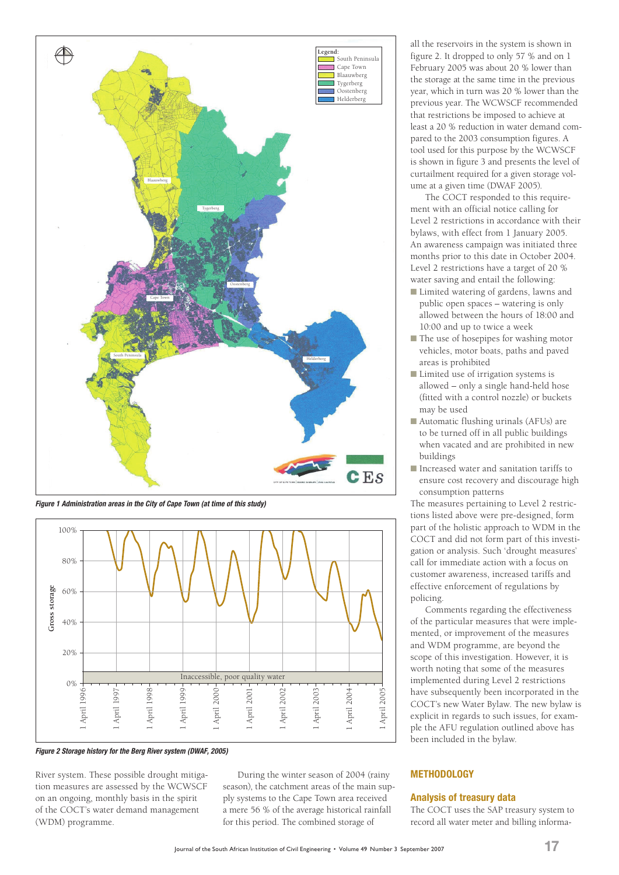

*Figure 1 Administration areas in the City of Cape Town (at time of this study)*



*Figure 2 Storage history for the Berg River system (DWAF, 2005)*

River system. These possible drought mitigation measures are assessed by the WCWSCF on an ongoing, monthly basis in the spirit of the COCT's water demand management (WDM) programme.

During the winter season of 2004 (rainy season), the catchment areas of the main supply systems to the Cape Town area received a mere 56 % of the average historical rainfall for this period. The combined storage of

all the reservoirs in the system is shown in figure 2. It dropped to only 57 % and on 1 February 2005 was about 20 % lower than the storage at the same time in the previous year, which in turn was 20 % lower than the previous year. The WCWSCF recommended that restrictions be imposed to achieve at least a 20 % reduction in water demand compared to the 2003 consumption figures. A tool used for this purpose by the WCWSCF is shown in figure 3 and presents the level of curtailment required for a given storage volume at a given time (DWAF 2005).

The COCT responded to this requirement with an official notice calling for Level 2 restrictions in accordance with their bylaws, with effect from 1 January 2005. An awareness campaign was initiated three months prior to this date in October 2004. Level 2 restrictions have a target of 20 % water saving and entail the following:

- Limited watering of gardens, lawns and public open spaces – watering is only allowed between the hours of 18:00 and 10:00 and up to twice a week
- The use of hosepipes for washing motor vehicles, motor boats, paths and paved areas is prohibited
- Limited use of irrigation systems is allowed – only a single hand-held hose (fitted with a control nozzle) or buckets may be used
- Automatic flushing urinals (AFUs) are to be turned off in all public buildings when vacated and are prohibited in new buildings
- Increased water and sanitation tariffs to ensure cost recovery and discourage high consumption patterns

The measures pertaining to Level 2 restrictions listed above were pre-designed, form part of the holistic approach to WDM in the COCT and did not form part of this investigation or analysis. Such 'drought measures' call for immediate action with a focus on customer awareness, increased tariffs and effective enforcement of regulations by policing.

Comments regarding the effectiveness of the particular measures that were implemented, or improvement of the measures and WDM programme, are beyond the scope of this investigation. However, it is worth noting that some of the measures implemented during Level 2 restrictions have subsequently been incorporated in the COCT's new Water Bylaw. The new bylaw is explicit in regards to such issues, for example the AFU regulation outlined above has been included in the bylaw.

## **METHODOLOGY**

#### **Analysis of treasury data**

The COCT uses the SAP treasury system to record all water meter and billing informa-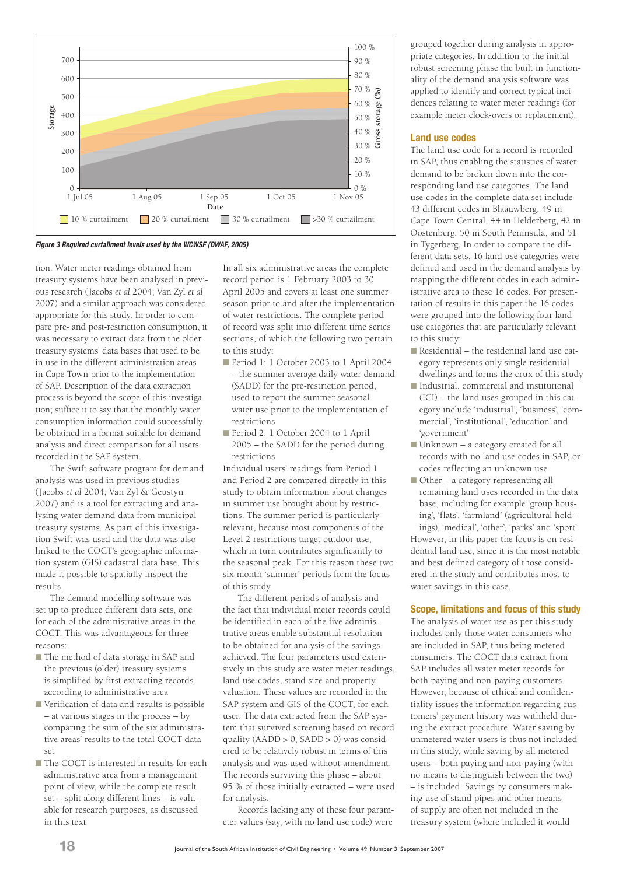

*Figure 3 Required curtailment levels used by the WCWSF (DWAF, 2005)*

tion. Water meter readings obtained from treasury systems have been analysed in previous research (Jacobs *et al* 2004; Van Zyl *et al* 2007) and a similar approach was considered appropriate for this study. In order to compare pre- and post-restriction consumption, it was necessary to extract data from the older treasury systems' data bases that used to be in use in the different administration areas in Cape Town prior to the implementation of SAP. Description of the data extraction process is beyond the scope of this investigation; suffice it to say that the monthly water consumption information could successfully be obtained in a format suitable for demand analysis and direct comparison for all users recorded in the SAP system.

The Swift software program for demand analysis was used in previous studies (Jacobs *et al* 2004; Van Zyl & Geustyn 2007) and is a tool for extracting and analysing water demand data from municipal treasury systems. As part of this investigation Swift was used and the data was also linked to the COCT's geographic information system (GIS) cadastral data base. This made it possible to spatially inspect the results.

The demand modelling software was set up to produce different data sets, one for each of the administrative areas in the COCT. This was advantageous for three reasons:

- The method of data storage in SAP and the previous (older) treasury systems is simplified by first extracting records according to administrative area
- Verification of data and results is possible – at various stages in the process – by comparing the sum of the six administrative areas' results to the total COCT data set
- The COCT is interested in results for each administrative area from a management point of view, while the complete result set – split along different lines – is valuable for research purposes, as discussed in this text

In all six administrative areas the complete record period is 1 February 2003 to 30 April 2005 and covers at least one summer season prior to and after the implementation of water restrictions. The complete period of record was split into different time series sections, of which the following two pertain to this study:

- Period 1: 1 October 2003 to 1 April 2004 – the summer average daily water demand (SADD) for the pre-restriction period, used to report the summer seasonal water use prior to the implementation of restrictions
- Period 2: 1 October 2004 to 1 April 2005 – the SADD for the period during restrictions

Individual users' readings from Period 1 and Period 2 are compared directly in this study to obtain information about changes in summer use brought about by restrictions. The summer period is particularly relevant, because most components of the Level 2 restrictions target outdoor use, which in turn contributes significantly to the seasonal peak. For this reason these two six-month 'summer' periods form the focus of this study.

The different periods of analysis and the fact that individual meter records could be identified in each of the five administrative areas enable substantial resolution to be obtained for analysis of the savings achieved. The four parameters used extensively in this study are water meter readings, land use codes, stand size and property valuation. These values are recorded in the SAP system and GIS of the COCT, for each user. The data extracted from the SAP system that survived screening based on record quality  $(AADD > 0, SADD > 0)$  was considered to be relatively robust in terms of this analysis and was used without amendment. The records surviving this phase – about 95 % of those initially extracted – were used for analysis.

Records lacking any of these four parameter values (say, with no land use code) were grouped together during analysis in appropriate categories. In addition to the initial robust screening phase the built in functionality of the demand analysis software was applied to identify and correct typical incidences relating to water meter readings (for example meter clock-overs or replacement).

#### **Land use codes**

The land use code for a record is recorded in SAP, thus enabling the statistics of water demand to be broken down into the corresponding land use categories. The land use codes in the complete data set include 43 different codes in Blaauwberg, 49 in Cape Town Central, 44 in Helderberg, 42 in Oostenberg, 50 in South Peninsula, and 51 in Tygerberg. In order to compare the different data sets, 16 land use categories were defined and used in the demand analysis by mapping the different codes in each administrative area to these 16 codes. For presentation of results in this paper the 16 codes were grouped into the following four land use categories that are particularly relevant to this study:

- Residential the residential land use category represents only single residential dwellings and forms the crux of this study
- Industrial, commercial and institutional (ICI) – the land uses grouped in this category include 'industrial', 'business', 'commercial', 'institutional', 'education' and 'government'
- Unknown a category created for all records with no land use codes in SAP, or codes reflecting an unknown use
- Other a category representing all remaining land uses recorded in the data base, including for example 'group housing', 'flats', 'farmland' (agricultural holdings), 'medical', 'other', 'parks' and 'sport'

However, in this paper the focus is on residential land use, since it is the most notable and best defined category of those considered in the study and contributes most to water savings in this case.

## **Scope, limitations and focus of this study**

The analysis of water use as per this study includes only those water consumers who are included in SAP, thus being metered consumers. The COCT data extract from SAP includes all water meter records for both paying and non-paying customers. However, because of ethical and confidentiality issues the information regarding customers' payment history was withheld during the extract procedure. Water saving by unmetered water users is thus not included in this study, while saving by all metered users – both paying and non-paying (with no means to distinguish between the two) – is included. Savings by consumers making use of stand pipes and other means of supply are often not included in the treasury system (where included it would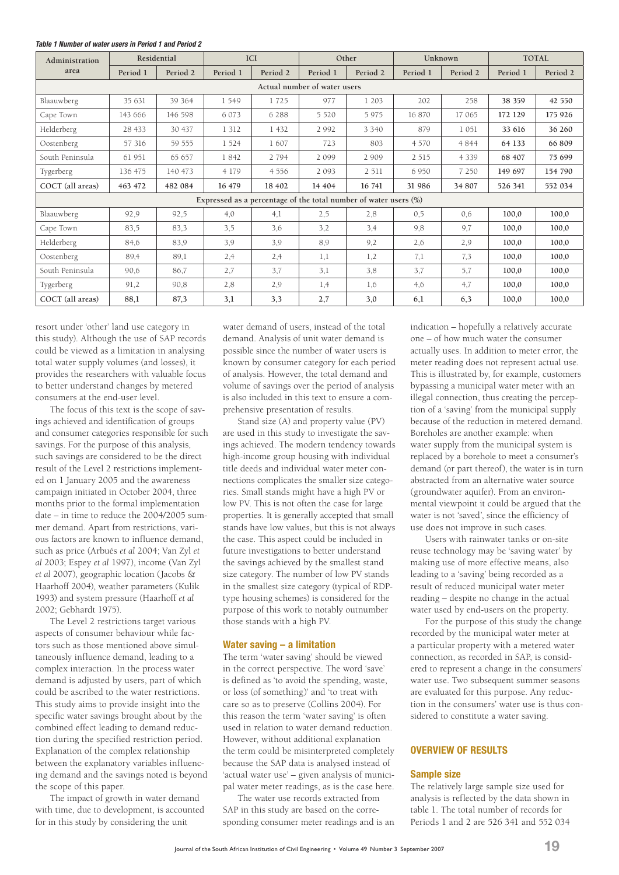| Administration   | Residential                                                         |          |          | <b>ICI</b> | Other    |          | Unknown  |          | <b>TOTAL</b> |          |
|------------------|---------------------------------------------------------------------|----------|----------|------------|----------|----------|----------|----------|--------------|----------|
| area             | Period 1                                                            | Period 2 | Period 1 | Period 2   | Period 1 | Period 2 | Period 1 | Period 2 | Period 1     | Period 2 |
|                  | Actual number of water users                                        |          |          |            |          |          |          |          |              |          |
| Blaauwberg       | 35 631                                                              | 39 364   | 1549     | 1725       | 977      | 1 2 0 3  | 202      | 258      | 38 359       | 42 550   |
| Cape Town        | 143 666                                                             | 146 598  | 6 0 7 3  | 6 2 8 8    | 5 5 2 0  | 5975     | 16 870   | 17065    | 172 129      | 175 926  |
| Helderberg       | 28 433                                                              | 30 437   | 1 3 1 2  | 1 4 3 2    | 2 9 9 2  | 3 3 4 0  | 879      | 1051     | 33 616       | 36 260   |
| Oostenberg       | 57 316                                                              | 59 555   | 1 5 2 4  | 1607       | 723      | 803      | 4 5 7 0  | 4 8 4 4  | 64 133       | 66 809   |
| South Peninsula  | 61 951                                                              | 65 657   | 1842     | 2 7 9 4    | 2099     | 2 9 0 9  | 2 5 1 5  | 4 3 3 9  | 68 407       | 75 699   |
| Tygerberg        | 136 475                                                             | 140 473  | 4 1 7 9  | 4 5 5 6    | 2093     | 2 5 1 1  | 6950     | 7 2 5 0  | 149 697      | 154 790  |
| COCT (all areas) | 463 472                                                             | 482 084  | 16 479   | 18 402     | 14 404   | 16 741   | 31 986   | 34 807   | 526 341      | 552 034  |
|                  | Expressed as a percentage of the total number of water users $(\%)$ |          |          |            |          |          |          |          |              |          |
| Blaauwberg       | 92,9                                                                | 92,5     | 4,0      | 4,1        | 2,5      | 2,8      | 0,5      | 0.6      | 100,0        | 100,0    |
| Cape Town        | 83,5                                                                | 83.3     | 3.5      | 3,6        | 3,2      | 3,4      | 9,8      | 9,7      | 100,0        | 100,0    |
| Helderberg       | 84,6                                                                | 83,9     | 3,9      | 3.9        | 8,9      | 9,2      | 2,6      | 2,9      | 100,0        | 100,0    |
| Oostenberg       | 89,4                                                                | 89,1     | 2,4      | 2,4        | 1,1      | 1,2      | 7,1      | 7,3      | 100,0        | 100,0    |
| South Peninsula  | 90,6                                                                | 86,7     | 2,7      | 3,7        | 3,1      | 3,8      | 3,7      | 5,7      | 100,0        | 100,0    |
| Tygerberg        | 91,2                                                                | 90,8     | 2,8      | 2,9        | 1,4      | 1,6      | 4,6      | 4,7      | 100,0        | 100,0    |
| COCT (all areas) | 88,1                                                                | 87,3     | 3,1      | 3,3        | 2,7      | 3,0      | 6,1      | 6,3      | 100,0        | 100,0    |

#### *Table 1 Number of water users in Period 1 and Period 2*

resort under 'other' land use category in this study). Although the use of SAP records could be viewed as a limitation in analysing total water supply volumes (and losses), it provides the researchers with valuable focus to better understand changes by metered consumers at the end-user level.

The focus of this text is the scope of savings achieved and identification of groups and consumer categories responsible for such savings. For the purpose of this analysis, such savings are considered to be the direct result of the Level 2 restrictions implemented on 1 January 2005 and the awareness campaign initiated in October 2004, three months prior to the formal implementation date – in time to reduce the 2004/2005 summer demand. Apart from restrictions, various factors are known to influence demand, such as price (Arbués *et al* 2004; Van Zyl *et al* 2003; Espey *et al* 1997), income (Van Zyl *et al* 2007), geographic location (Jacobs & Haarhoff 2004), weather parameters (Kulik 1993) and system pressure (Haarhoff *et al* 2002; Gebhardt 1975).

The Level 2 restrictions target various aspects of consumer behaviour while factors such as those mentioned above simultaneously influence demand, leading to a complex interaction. In the process water demand is adjusted by users, part of which could be ascribed to the water restrictions. This study aims to provide insight into the specific water savings brought about by the combined effect leading to demand reduction during the specified restriction period. Explanation of the complex relationship between the explanatory variables influencing demand and the savings noted is beyond the scope of this paper.

The impact of growth in water demand with time, due to development, is accounted for in this study by considering the unit

water demand of users, instead of the total demand. Analysis of unit water demand is possible since the number of water users is known by consumer category for each period of analysis. However, the total demand and volume of savings over the period of analysis is also included in this text to ensure a comprehensive presentation of results.

Stand size (A) and property value (PV) are used in this study to investigate the savings achieved. The modern tendency towards high-income group housing with individual title deeds and individual water meter connections complicates the smaller size categories. Small stands might have a high PV or low PV. This is not often the case for large properties. It is generally accepted that small stands have low values, but this is not always the case. This aspect could be included in future investigations to better understand the savings achieved by the smallest stand size category. The number of low PV stands in the smallest size category (typical of RDPtype housing schemes) is considered for the purpose of this work to notably outnumber those stands with a high PV.

#### **Water saving – a limitation**

The term 'water saving' should be viewed in the correct perspective. The word 'save' is defined as 'to avoid the spending, waste, or loss (of something)' and 'to treat with care so as to preserve (Collins 2004). For this reason the term 'water saving' is often used in relation to water demand reduction. However, without additional explanation the term could be misinterpreted completely because the SAP data is analysed instead of 'actual water use' – given analysis of municipal water meter readings, as is the case here.

The water use records extracted from SAP in this study are based on the corresponding consumer meter readings and is an indication – hopefully a relatively accurate one – of how much water the consumer actually uses. In addition to meter error, the meter reading does not represent actual use. This is illustrated by, for example, customers bypassing a municipal water meter with an illegal connection, thus creating the perception of a 'saving' from the municipal supply because of the reduction in metered demand. Boreholes are another example: when water supply from the municipal system is replaced by a borehole to meet a consumer's demand (or part thereof), the water is in turn abstracted from an alternative water source (groundwater aquifer). From an environmental viewpoint it could be argued that the water is not 'saved', since the efficiency of use does not improve in such cases.

Users with rainwater tanks or on-site reuse technology may be 'saving water' by making use of more effective means, also leading to a 'saving' being recorded as a result of reduced municipal water meter reading – despite no change in the actual water used by end-users on the property.

For the purpose of this study the change recorded by the municipal water meter at a particular property with a metered water connection, as recorded in SAP, is considered to represent a change in the consumers' water use. Two subsequent summer seasons are evaluated for this purpose. Any reduction in the consumers' water use is thus considered to constitute a water saving.

## **OVERVIEW OF RESULTS**

#### **Sample size**

The relatively large sample size used for analysis is reflected by the data shown in table 1. The total number of records for Periods 1 and 2 are 526 341 and 552 034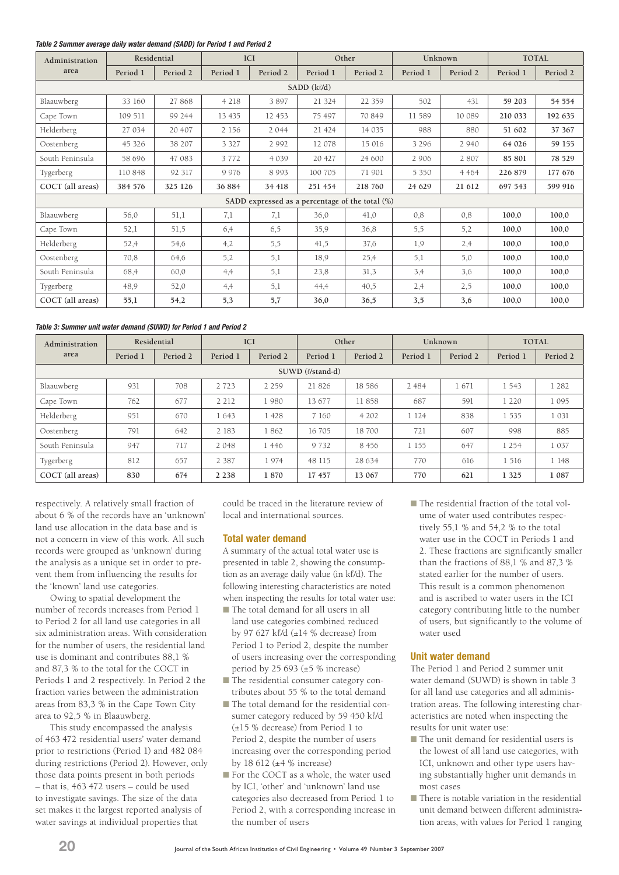#### *Table 2 Summer average daily water demand (SADD) for Period 1 and Period 2*

| Administration   |                  | Residential | <b>ICI</b> |          | Other    |                                                    | Unknown  |          | <b>TOTAL</b> |          |
|------------------|------------------|-------------|------------|----------|----------|----------------------------------------------------|----------|----------|--------------|----------|
| area             | Period 1         | Period 2    | Period 1   | Period 2 | Period 1 | Period 2                                           | Period 1 | Period 2 | Period 1     | Period 2 |
|                  | $SADD (k\ell/d)$ |             |            |          |          |                                                    |          |          |              |          |
| Blaauwberg       | 33 160           | 27868       | 4 2 1 8    | 3897     | 21 324   | 22 3 5 9                                           | 502      | 431      | 59 203       | 54 554   |
| Cape Town        | 109 511          | 99 244      | 13 4 35    | 12 453   | 75 497   | 70 849                                             | 11 589   | 10 089   | 210 033      | 192 635  |
| Helderberg       | 27 034           | 20 407      | 2 1 5 6    | 2 0 4 4  | 21 424   | 14 0 35                                            | 988      | 880      | 51 602       | 37 367   |
| Oostenberg       | 45 326           | 38 207      | 3 3 2 7    | 2 9 9 2  | 12 078   | 15 016                                             | 3 2 9 6  | 2 9 4 0  | 64 026       | 59 155   |
| South Peninsula  | 58 696           | 47 083      | 3772       | 4 0 3 9  | 20 427   | 24 600                                             | 2 9 0 6  | 2807     | 85 801       | 78 529   |
| Tygerberg        | 110 848          | 92 317      | 9 9 7 6    | 8 9 9 3  | 100 705  | 71 901                                             | 5 3 5 0  | 4 4 6 4  | 226 879      | 177 676  |
| COCT (all areas) | 384 576          | 325 126     | 36 884     | 34 418   | 251 454  | 218 760                                            | 24 629   | 21 612   | 697 543      | 599 916  |
|                  |                  |             |            |          |          | SADD expressed as a percentage of the total $(\%)$ |          |          |              |          |
| Blaauwberg       | 56,0             | 51,1        | 7,1        | 7,1      | 36,0     | 41,0                                               | 0,8      | 0.8      | 100,0        | 100,0    |
| Cape Town        | 52,1             | 51,5        | 6,4        | 6,5      | 35,9     | 36,8                                               | 5,5      | 5,2      | 100,0        | 100,0    |
| Helderberg       | 52,4             | 54,6        | 4,2        | 5,5      | 41,5     | 37,6                                               | 1,9      | 2,4      | 100,0        | 100,0    |
| Oostenberg       | 70,8             | 64,6        | 5,2        | 5,1      | 18,9     | 25,4                                               | 5,1      | 5,0      | 100,0        | 100,0    |
| South Peninsula  | 68.4             | 60,0        | 4,4        | 5,1      | 23,8     | 31,3                                               | 3,4      | 3,6      | 100,0        | 100,0    |
| Tygerberg        | 48,9             | 52,0        | 4,4        | 5,1      | 44,4     | 40,5                                               | 2,4      | 2,5      | 100.0        | 100,0    |
| COCT (all areas) | 55,1             | 54,2        | 5,3        | 5,7      | 36,0     | 36,5                                               | 3,5      | 3,6      | 100,0        | 100,0    |

#### *Table 3: Summer unit water demand (SUWD) for Period 1 and Period 2*

| Administration<br>area | Residential |          |          | <b>ICI</b> | Other    |          | Unknown  |          | <b>TOTAL</b> |          |
|------------------------|-------------|----------|----------|------------|----------|----------|----------|----------|--------------|----------|
|                        | Period 1    | Period 2 | Period 1 | Period 2   | Period 1 | Period 2 | Period 1 | Period 2 | Period 1     | Period 2 |
| SUWD (l/stand-d)       |             |          |          |            |          |          |          |          |              |          |
| Blaauwberg             | 931         | 708      | 2 7 2 3  | 2 2 5 9    | 21826    | 18 5 8 6 | 2 4 8 4  | 1671     | 1 5 4 3      | 1 2 8 2  |
| Cape Town              | 762         | 677      | 2 2 1 2  | 1980       | 13 677   | 11858    | 687      | 591      | 1 2 2 0      | 1 0 9 5  |
| Helderberg             | 951         | 670      | 1643     | 1428       | 7 1 6 0  | 4 202    | 1 1 2 4  | 838      | 1 5 3 5      | 1 0 3 1  |
| Oostenberg             | 791         | 642      | 2 183    | 1862       | 16 705   | 18700    | 721      | 607      | 998          | 885      |
| South Peninsula        | 947         | 717      | 2 0 4 8  | 1446       | 9 7 3 2  | 8 4 5 6  | 1 1 5 5  | 647      | 1 2 5 4      | 1 0 3 7  |
| Tygerberg              | 812         | 657      | 2 3 8 7  | 1974       | 48 115   | 28 634   | 770      | 616      | 1 516        | 1 148    |
| COCT (all areas)       | 830         | 674      | 2 2 3 8  | 1870       | 17 457   | 13 067   | 770      | 621      | 1 3 2 5      | 1 0 8 7  |

respectively. A relatively small fraction of about 6 % of the records have an 'unknown' land use allocation in the data base and is not a concern in view of this work. All such records were grouped as 'unknown' during the analysis as a unique set in order to prevent them from influencing the results for the 'known' land use categories.

Owing to spatial development the number of records increases from Period 1 to Period 2 for all land use categories in all six administration areas. With consideration for the number of users, the residential land use is dominant and contributes 88,1 % and 87,3 % to the total for the COCT in Periods 1 and 2 respectively. In Period 2 the fraction varies between the administration areas from 83,3 % in the Cape Town City area to 92,5 % in Blaauwberg.

This study encompassed the analysis of 463 472 residential users' water demand prior to restrictions (Period 1) and 482 084 during restrictions (Period 2). However, only those data points present in both periods – that is, 463 472 users – could be used to investigate savings. The size of the data set makes it the largest reported analysis of water savings at individual properties that

could be traced in the literature review of local and international sources.

#### **Total water demand**

A summary of the actual total water use is presented in table 2, showing the consumption as an average daily value (in kl/d). The following interesting characteristics are noted when inspecting the results for total water use:

- The total demand for all users in all land use categories combined reduced by 97 627 k $\ell$ /d ( $\pm$ 14 % decrease) from Period 1 to Period 2, despite the number of users increasing over the corresponding period by 25 693  $(±5 %$  increase)
- The residential consumer category contributes about 55 % to the total demand
- The total demand for the residential consumer category reduced by 59 450 kl/d (±15 % decrease) from Period 1 to Period 2, despite the number of users increasing over the corresponding period by  $18\,612$  ( $\pm 4\%$  increase)
- For the COCT as a whole, the water used by ICI, 'other' and 'unknown' land use categories also decreased from Period 1 to Period 2, with a corresponding increase in the number of users

■ The residential fraction of the total volume of water used contributes respectively 55,1 % and 54,2 % to the total water use in the COCT in Periods 1 and 2. These fractions are significantly smaller than the fractions of 88,1 % and 87,3 % stated earlier for the number of users. This result is a common phenomenon and is ascribed to water users in the ICI category contributing little to the number of users, but significantly to the volume of water used

#### **Unit water demand**

The Period 1 and Period 2 summer unit water demand (SUWD) is shown in table 3 for all land use categories and all administration areas. The following interesting characteristics are noted when inspecting the results for unit water use:

- The unit demand for residential users is the lowest of all land use categories, with ICI, unknown and other type users having substantially higher unit demands in most cases
- There is notable variation in the residential unit demand between different administration areas, with values for Period 1 ranging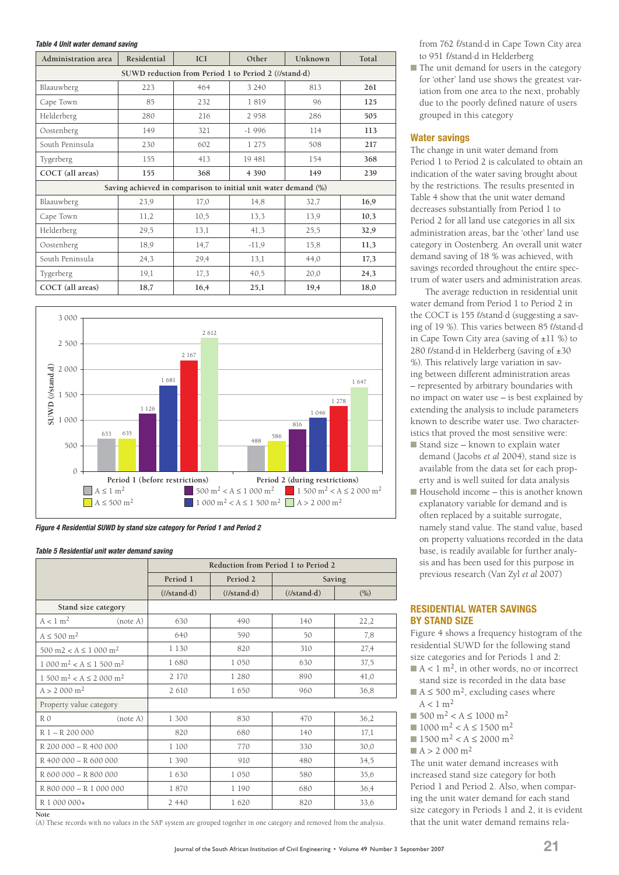#### *Table 4 Unit water demand saving*

| Administration area | Residential                                                    | <b>ICI</b> | Other   | Unknown | Total |  |  |  |
|---------------------|----------------------------------------------------------------|------------|---------|---------|-------|--|--|--|
|                     | SUWD reduction from Period 1 to Period 2 (l/stand-d)           |            |         |         |       |  |  |  |
| Blaauwberg          | 223                                                            | 464        | 3 2 4 0 | 813     | 261   |  |  |  |
| Cape Town           | 85                                                             | 232        | 1819    | 96      | 125   |  |  |  |
| Helderberg          | 280                                                            | 216        | 2 9 5 8 | 286     | 505   |  |  |  |
| Oostenberg          | 149                                                            | 321        | $-1996$ | 114     | 113   |  |  |  |
| South Peninsula     | 230                                                            | 602        | 1 275   | 508     | 217   |  |  |  |
| Tygerberg           | 155                                                            | 413        | 19 481  | 154     | 368   |  |  |  |
| COCT (all areas)    | 155                                                            | 368        | 4 3 9 0 | 149     | 239   |  |  |  |
|                     | Saving achieved in comparison to initial unit water demand (%) |            |         |         |       |  |  |  |
| Blaauwberg          | 23,9                                                           | 17,0       | 14,8    | 32,7    | 16,9  |  |  |  |
| Cape Town           | 11,2                                                           | 10,5       | 13,3    | 13,9    | 10,3  |  |  |  |
| Helderberg          | 29,5                                                           | 13,1       | 41,3    | 25,5    | 32,9  |  |  |  |
| Oostenberg          | 18,9                                                           | 14,7       | $-11,9$ | 15,8    | 11,3  |  |  |  |
| South Peninsula     | 24,3                                                           | 29,4       | 13,1    | 44,0    | 17,3  |  |  |  |
| Tygerberg           | 19,1                                                           | 17,3       | 40,5    | 20,0    | 24,3  |  |  |  |
| COCT (all areas)    | 18,7                                                           | 16,4       | 25,1    | 19,4    | 18,0  |  |  |  |



*Figure 4 Residential SUWD by stand size category for Period 1 and Period 2*

#### *Table 5 Residential unit water demand saving*

|                                              |                           | Reduction from Period 1 to Period 2 |                      |        |
|----------------------------------------------|---------------------------|-------------------------------------|----------------------|--------|
|                                              | Period 1                  | Period 2                            |                      | Saving |
|                                              | $(\ell$ /stand $\cdot$ d) | $(\ell$ /stand $\cdot$ d)           | $(l/\text{stand-d})$ | (% )   |
| Stand size category                          |                           |                                     |                      |        |
| A < 1 m <sup>2</sup><br>(note A)             | 630                       | 490                                 | 140                  | 22,2   |
| $A \leq 500$ m <sup>2</sup>                  | 640                       | 590                                 | 50                   | 7,8    |
| $500 \text{ m}$ $2 < A \le 1000 \text{ m}^2$ | 1 1 3 0                   | 820                                 | 310                  | 27,4   |
| $1000 \text{ m}^2 < A \le 1500 \text{ m}^2$  | 1680                      | 1050                                | 630                  | 37,5   |
| $1500 \text{ m}^2 < A \le 2000 \text{ m}^2$  | 2 170                     | 1 2 8 0                             | 890                  | 41,0   |
| $A > 2000$ m <sup>2</sup>                    | 2 6 10                    | 1650                                | 960                  | 36,8   |
| Property value category                      |                           |                                     |                      |        |
| (note A)<br>R <sub>0</sub>                   | 1 300                     | 830                                 | 470                  | 36,2   |
| R 1 - R 200 000                              | 820                       | 680                                 | 140                  | 17,1   |
| R 200 000 - R 400 000                        | 1 100                     | 770                                 | 330                  | 30,0   |
| R 400 000 - R 600 000                        | 1 3 9 0                   | 910                                 | 480                  | 34,5   |
| R 600 000 - R 800 000                        | 1630                      | 1 0 5 0                             | 580                  | 35,6   |
| R 800 000 - R 1 000 000                      | 1870                      | 1 190                               | 680                  | 36,4   |
| R 1 000 000+                                 | 2 4 4 0                   | 1620                                | 820                  | 33,6   |

**Note**

(A) These records with no values in the SAP system are grouped together in one category and removed from the analysis.

from 762 l/stand·d in Cape Town City area to 951 l/stand·d in Helderberg

■ The unit demand for users in the category for 'other' land use shows the greatest variation from one area to the next, probably due to the poorly defined nature of users grouped in this category

## **Water savings**

The change in unit water demand from Period 1 to Period 2 is calculated to obtain an indication of the water saving brought about by the restrictions. The results presented in Table 4 show that the unit water demand decreases substantially from Period 1 to Period 2 for all land use categories in all six administration areas, bar the 'other' land use category in Oostenberg. An overall unit water demand saving of 18 % was achieved, with savings recorded throughout the entire spectrum of water users and administration areas.

The average reduction in residential unit water demand from Period 1 to Period 2 in the COCT is 155 l/stand·d (suggesting a saving of 19 %). This varies between 85 l/stand·d in Cape Town City area (saving of ±11 %) to 280 l/stand·d in Helderberg (saving of ±30 %). This relatively large variation in saving between different administration areas – represented by arbitrary boundaries with no impact on water use – is best explained by extending the analysis to include parameters known to describe water use. Two characteristics that proved the most sensitive were:

- Stand size known to explain water demand (Jacobs *et al* 2004), stand size is available from the data set for each property and is well suited for data analysis
- Household income this is another known explanatory variable for demand and is often replaced by a suitable surrogate, namely stand value. The stand value, based on property valuations recorded in the data base, is readily available for further analysis and has been used for this purpose in previous research (Van Zyl *et al* 2007)

## **RESIDENTIAL WATER SAVINGS BY STAND SIZE**

Figure 4 shows a frequency histogram of the residential SUWD for the following stand size categories and for Periods 1 and 2:

- $A < 1$  m<sup>2</sup>, in other words, no or incorrect stand size is recorded in the data base
- $A \le 500$  m<sup>2</sup>, excluding cases where  $A < 1$  m<sup>2</sup>
- 500 m<sup>2</sup> < A ≤ 1000 m<sup>2</sup>
- 1000 m<sup>2</sup> < A ≤ 1500 m<sup>2</sup>
- 1500 m<sup>2</sup> < A ≤ 2000 m<sup>2</sup>
- $A > 2000 \text{ m}^2$

The unit water demand increases with increased stand size category for both Period 1 and Period 2. Also, when comparing the unit water demand for each stand size category in Periods 1 and 2, it is evident that the unit water demand remains rela-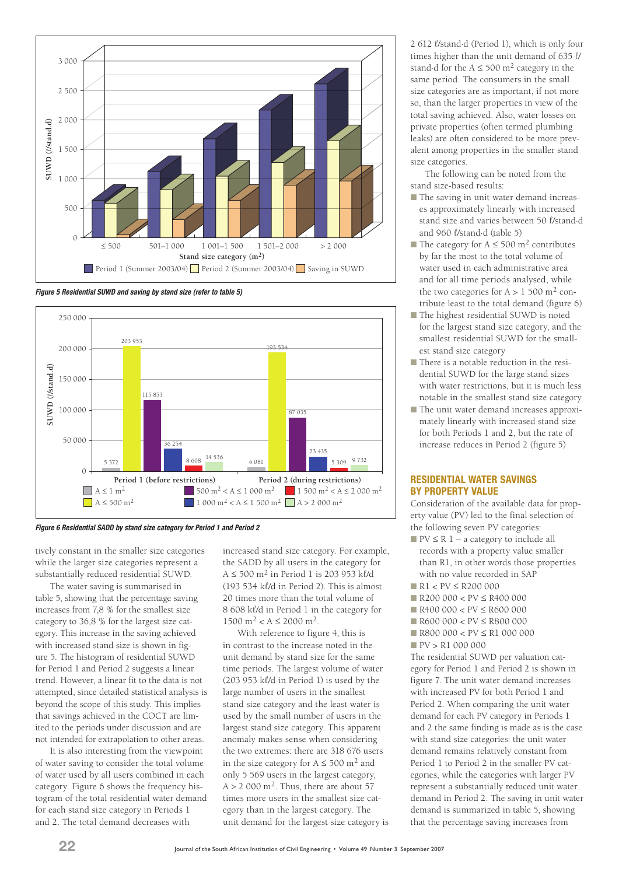





*Figure 6 Residential SADD by stand size category for Period 1 and Period 2*

tively constant in the smaller size categories while the larger size categories represent a substantially reduced residential SUWD.

The water saving is summarised in table 5, showing that the percentage saving increases from 7,8 % for the smallest size category to 36,8 % for the largest size category. This increase in the saving achieved with increased stand size is shown in figure 5. The histogram of residential SUWD for Period 1 and Period 2 suggests a linear trend. However, a linear fit to the data is not attempted, since detailed statistical analysis is beyond the scope of this study. This implies that savings achieved in the COCT are limited to the periods under discussion and are not intended for extrapolation to other areas.

It is also interesting from the viewpoint of water saving to consider the total volume of water used by all users combined in each category. Figure 6 shows the frequency histogram of the total residential water demand for each stand size category in Periods 1 and 2. The total demand decreases with

increased stand size category. For example, the SADD by all users in the category for  $A \le 500$  m<sup>2</sup> in Period 1 is 203 953 kl/d (193 534 kl/d in Period 2). This is almost 20 times more than the total volume of 8 608 kl/d in Period 1 in the category for  $1500 \text{ m}^2 < A \le 2000 \text{ m}^2$ .

With reference to figure 4, this is in contrast to the increase noted in the unit demand by stand size for the same time periods. The largest volume of water (203 953 kl/d in Period 1) is used by the large number of users in the smallest stand size category and the least water is used by the small number of users in the largest stand size category. This apparent anomaly makes sense when considering the two extremes: there are 318 676 users in the size category for  $A \le 500$  m<sup>2</sup> and only 5 569 users in the largest category,  $A > 2,000 \text{ m}^2$  Thus, there are about 57 times more users in the smallest size category than in the largest category. The unit demand for the largest size category is 2 612 l/stand·d (Period 1), which is only four times higher than the unit demand of 635 l/ stand d for the  $A \le 500$  m<sup>2</sup> category in the same period. The consumers in the small size categories are as important, if not more so, than the larger properties in view of the total saving achieved. Also, water losses on private properties (often termed plumbing leaks) are often considered to be more prevalent among properties in the smaller stand size categories.

The following can be noted from the stand size-based results:

- The saving in unit water demand increases approximately linearly with increased stand size and varies between 50 l/stand·d and 960 l/stand·d (table 5)
- The category for  $A \le 500$  m<sup>2</sup> contributes by far the most to the total volume of water used in each administrative area and for all time periods analysed, while the two categories for  $A > 1,500$  m<sup>2</sup> contribute least to the total demand (figure 6)
- The highest residential SUWD is noted for the largest stand size category, and the smallest residential SUWD for the smallest stand size category
- There is a notable reduction in the residential SUWD for the large stand sizes with water restrictions, but it is much less notable in the smallest stand size category
- The unit water demand increases approximately linearly with increased stand size for both Periods 1 and 2, but the rate of increase reduces in Period 2 (figure 5)

## **RESIDENTIAL WATER SAVINGS BY PROPERTY VALUE**

Consideration of the available data for property value (PV) led to the final selection of the following seven PV categories:

- $\blacksquare$  PV  $\leq$  R  $1$  a category to include all records with a property value smaller than R1, in other words those properties with no value recorded in SAP
- R1 < PV ≤ R200 000
- R200 000 < PV ≤ R400 000
- $\blacksquare$  R400 000 < PV  $\leq$  R600 000
- R600 000 < PV ≤ R800 000
- R800 000 < PV ≤ R1 000 000
- PV > R1 000 000

The residential SUWD per valuation category for Period 1 and Period 2 is shown in figure 7. The unit water demand increases with increased PV for both Period 1 and Period 2. When comparing the unit water demand for each PV category in Periods 1 and 2 the same finding is made as is the case with stand size categories: the unit water demand remains relatively constant from Period 1 to Period 2 in the smaller PV categories, while the categories with larger PV represent a substantially reduced unit water demand in Period 2. The saving in unit water demand is summarized in table 5, showing that the percentage saving increases from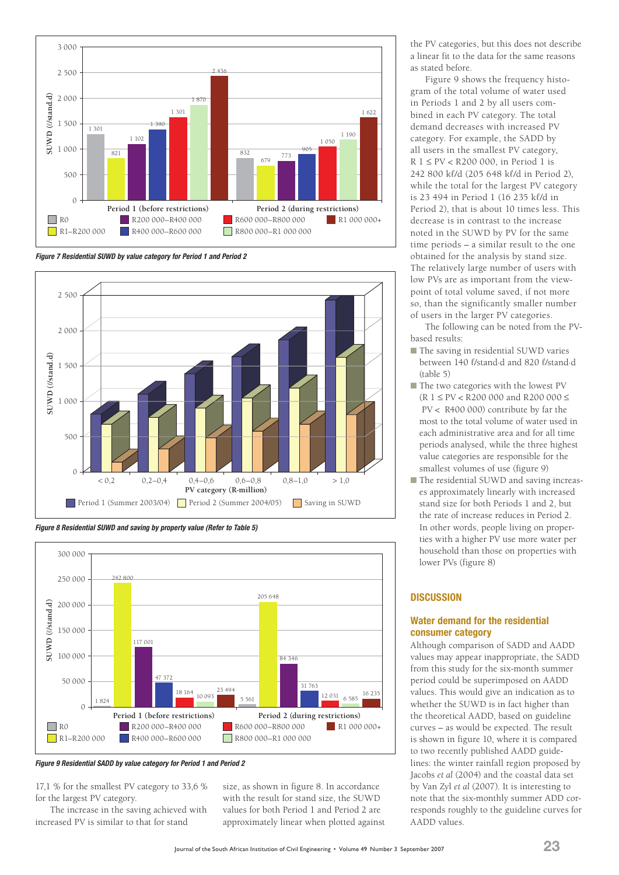

*Figure 7 Residential SUWD by value category for Period 1 and Period 2*



*Figure 8 Residential SUWD and saving by property value (Refer to Table 5)*



*Figure 9 Residential SADD by value category for Period 1 and Period 2*

17,1 % for the smallest PV category to 33,6 % for the largest PV category.

The increase in the saving achieved with increased PV is similar to that for stand

size, as shown in figure 8. In accordance with the result for stand size, the SUWD values for both Period 1 and Period 2 are approximately linear when plotted against the PV categories, but this does not describe a linear fit to the data for the same reasons as stated before.

Figure 9 shows the frequency histogram of the total volume of water used in Periods 1 and 2 by all users combined in each PV category. The total demand decreases with increased PV category. For example, the SADD by all users in the smallest PV category, R 1 ≤ PV < R200 000, in Period 1 is 242 800 kl/d (205 648 kl/d in Period 2), while the total for the largest PV category is 23 494 in Period 1 (16 235 kl/d in Period 2), that is about 10 times less. This decrease is in contrast to the increase noted in the SUWD by PV for the same time periods – a similar result to the one obtained for the analysis by stand size. The relatively large number of users with low PVs are as important from the viewpoint of total volume saved, if not more so, than the significantly smaller number of users in the larger PV categories.

The following can be noted from the PVbased results:

- The saving in residential SUWD varies between 140 l/stand·d and 820 l/stand·d (table 5)
- The two categories with the lowest PV  $(R \ 1 \le PV < R200\ 000$  and R200 000  $\le$  PV < R400 000) contribute by far the most to the total volume of water used in each administrative area and for all time periods analysed, while the three highest value categories are responsible for the smallest volumes of use (figure 9)
- The residential SUWD and saving increases approximately linearly with increased stand size for both Periods 1 and 2, but the rate of increase reduces in Period 2. In other words, people living on properties with a higher PV use more water per household than those on properties with lower PVs (figure 8)

## **DISCUSSION**

## **Water demand for the residential consumer category**

Although comparison of SADD and AADD values may appear inappropriate, the SADD from this study for the six-month summer period could be superimposed on AADD values. This would give an indication as to whether the SUWD is in fact higher than the theoretical AADD, based on guideline curves – as would be expected. The result is shown in figure 10, where it is compared to two recently published AADD guidelines: the winter rainfall region proposed by Jacobs *et al* (2004) and the coastal data set by Van Zyl *et al* (2007). It is interesting to note that the six-monthly summer ADD corresponds roughly to the guideline curves for AADD values.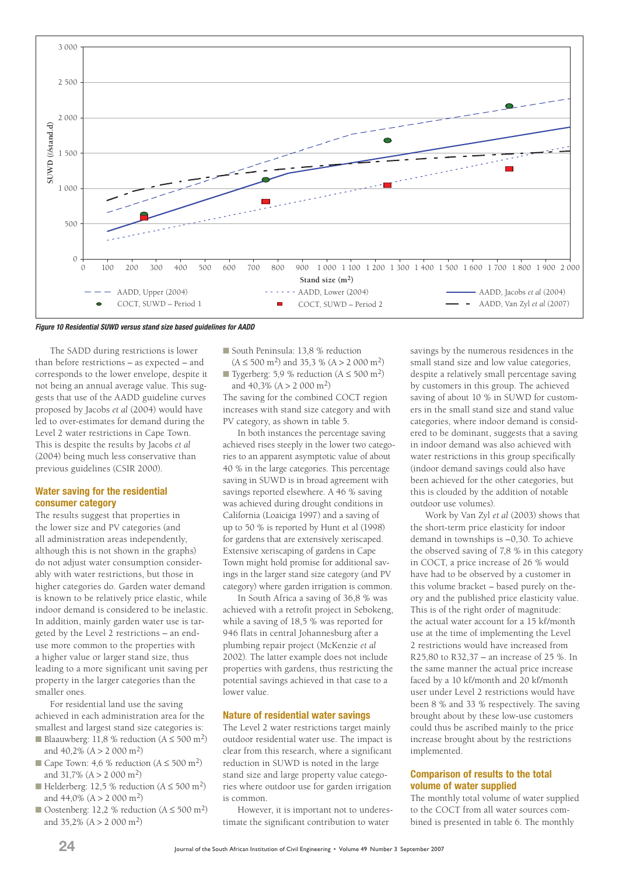

*Figure 10 Residential SUWD versus stand size based guidelines for AADD*

The SADD during restrictions is lower than before restrictions – as expected – and corresponds to the lower envelope, despite it not being an annual average value. This suggests that use of the AADD guideline curves proposed by Jacobs *et al* (2004) would have led to over-estimates for demand during the Level 2 water restrictions in Cape Town. This is despite the results by Jacobs *et al* (2004) being much less conservative than previous guidelines (CSIR 2000).

#### **Water saving for the residential consumer category**

The results suggest that properties in the lower size and PV categories (and all administration areas independently, although this is not shown in the graphs) do not adjust water consumption considerably with water restrictions, but those in higher categories do. Garden water demand is known to be relatively price elastic, while indoor demand is considered to be inelastic. In addition, mainly garden water use is targeted by the Level 2 restrictions – an enduse more common to the properties with a higher value or larger stand size, thus leading to a more significant unit saving per property in the larger categories than the smaller ones.

For residential land use the saving achieved in each administration area for the smallest and largest stand size categories is:

- Blaauwberg: 11,8 % reduction  $(A \le 500 \text{ m}^2)$ and 40,2% (A > 2 000 m2)
- Cape Town: 4,6 % reduction  $(A \le 500 \text{ m}^2)$ and  $31,7\%$  (A > 2 000 m<sup>2</sup>)
- Helderberg: 12,5 % reduction  $(A \le 500 \text{ m}^2)$ and 44,0% (A > 2 000 m2)
- Oostenberg: 12,2 % reduction  $(A \le 500 \text{ m}^2)$ and  $35,2\%$  (A > 2 000 m<sup>2</sup>)

■ South Peninsula: 13,8 % reduction  $(A \le 500 \text{ m}^2)$  and 35.3 %  $(A > 2000 \text{ m}^2)$ 

■ Tygerberg: 5,9 % reduction  $(A \le 500 \text{ m}^2)$ and  $40.3\%$  (A > 2 000 m<sup>2</sup>)

The saving for the combined COCT region increases with stand size category and with PV category, as shown in table 5.

In both instances the percentage saving achieved rises steeply in the lower two categories to an apparent asymptotic value of about 40 % in the large categories. This percentage saving in SUWD is in broad agreement with savings reported elsewhere. A 46 % saving was achieved during drought conditions in California (Loaiciga 1997) and a saving of up to 50 % is reported by Hunt et al (1998) for gardens that are extensively xeriscaped. Extensive xeriscaping of gardens in Cape Town might hold promise for additional savings in the larger stand size category (and PV category) where garden irrigation is common.

In South Africa a saving of 36,8 % was achieved with a retrofit project in Sebokeng, while a saving of 18,5 % was reported for 946 flats in central Johannesburg after a plumbing repair project (McKenzie *et al*  2002). The latter example does not include properties with gardens, thus restricting the potential savings achieved in that case to a lower value.

#### **Nature of residential water savings**

The Level 2 water restrictions target mainly outdoor residential water use. The impact is clear from this research, where a significant reduction in SUWD is noted in the large stand size and large property value categories where outdoor use for garden irrigation is common.

However, it is important not to underestimate the significant contribution to water

savings by the numerous residences in the small stand size and low value categories, despite a relatively small percentage saving by customers in this group. The achieved saving of about 10 % in SUWD for customers in the small stand size and stand value categories, where indoor demand is considered to be dominant, suggests that a saving in indoor demand was also achieved with water restrictions in this group specifically (indoor demand savings could also have been achieved for the other categories, but this is clouded by the addition of notable outdoor use volumes).

Work by Van Zyl *et al* (2003) shows that the short-term price elasticity for indoor demand in townships is –0,30. To achieve the observed saving of 7,8 % in this category in COCT, a price increase of 26 % would have had to be observed by a customer in this volume bracket – based purely on theory and the published price elasticity value. This is of the right order of magnitude: the actual water account for a 15 kl/month use at the time of implementing the Level 2 restrictions would have increased from R25,80 to R32,37 – an increase of 25 %. In the same manner the actual price increase faced by a 10 kl/month and 20 kl/month user under Level 2 restrictions would have been 8 % and 33 % respectively. The saving brought about by these low-use customers could thus be ascribed mainly to the price increase brought about by the restrictions implemented.

## **Comparison of results to the total volume of water supplied**

The monthly total volume of water supplied to the COCT from all water sources combined is presented in table 6. The monthly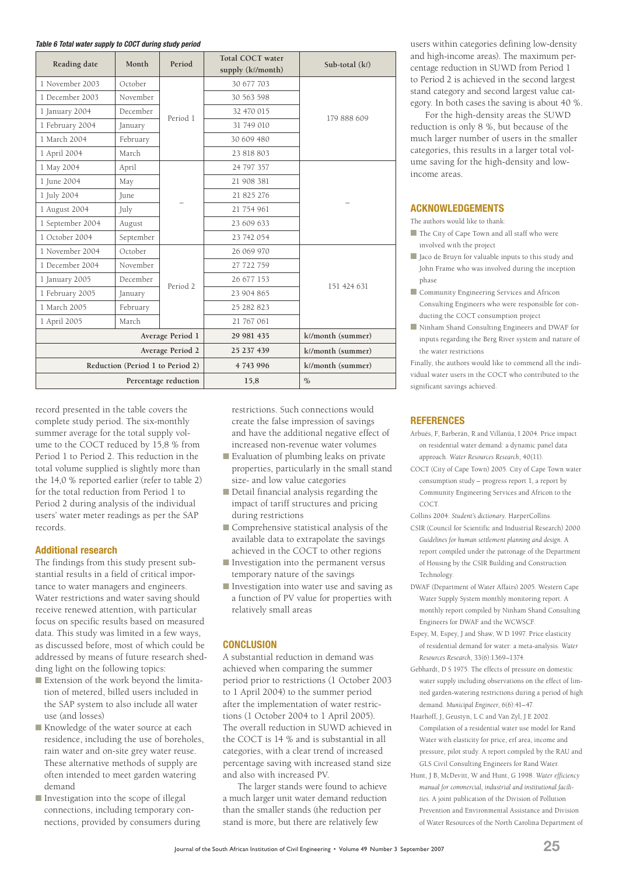#### *Table 6 Total water supply to COCT during study period*

| Reading date     | Month                            | Period               | <b>Total COCT water</b><br>supply (kl/month) | Sub-total (kl)    |
|------------------|----------------------------------|----------------------|----------------------------------------------|-------------------|
| 1 November 2003  | October                          |                      | 30 677 703                                   |                   |
| 1 December 2003  | November                         |                      | 30 563 598                                   |                   |
| 1 January 2004   | December                         | Period 1             | 32 470 015                                   | 179 888 609       |
| 1 February 2004  | January                          |                      | 31 749 010                                   |                   |
| 1 March 2004     | February                         |                      | 30 609 480                                   |                   |
| 1 April 2004     | March                            |                      | 23 818 803                                   |                   |
| 1 May 2004       | April                            |                      | 24 797 357                                   |                   |
| 1 June 2004      | May                              |                      | 21 908 381                                   |                   |
| 1 July 2004      | June                             |                      | 21 825 276                                   |                   |
| 1 August 2004    | July                             |                      | 21 754 961                                   |                   |
| 1 September 2004 | August                           |                      | 23 609 633                                   |                   |
| 1 October 2004   | September                        |                      | 23 742 054                                   |                   |
| 1 November 2004  | October                          |                      | 26 069 970                                   |                   |
| 1 December 2004  | November                         |                      | 27 722 759                                   |                   |
| 1 January 2005   | December                         | Period <sub>2</sub>  | 26 677 153                                   | 151 424 631       |
| 1 February 2005  | January                          |                      | 23 904 865                                   |                   |
| 1 March 2005     | February                         |                      | 25 282 823                                   |                   |
| 1 April 2005     | March                            |                      | 21 767 061                                   |                   |
|                  |                                  | Average Period 1     | 29 981 435                                   | kl/month (summer) |
|                  |                                  | Average Period 2     | 25 237 439                                   | kl/month (summer) |
|                  | Reduction (Period 1 to Period 2) |                      | 4 743 996                                    | kl/month (summer) |
|                  |                                  | Percentage reduction | 15,8                                         | $\frac{0}{0}$     |

record presented in the table covers the complete study period. The six-monthly summer average for the total supply volume to the COCT reduced by 15,8 % from Period 1 to Period 2. This reduction in the total volume supplied is slightly more than the 14,0 % reported earlier (refer to table 2) for the total reduction from Period 1 to Period 2 during analysis of the individual users' water meter readings as per the SAP records.

## **Additional research**

The findings from this study present substantial results in a field of critical importance to water managers and engineers. Water restrictions and water saving should receive renewed attention, with particular focus on specific results based on measured data. This study was limited in a few ways, as discussed before, most of which could be addressed by means of future research shedding light on the following topics:

- Extension of the work beyond the limitation of metered, billed users included in the SAP system to also include all water use (and losses)
- Knowledge of the water source at each residence, including the use of boreholes, rain water and on-site grey water reuse. These alternative methods of supply are often intended to meet garden watering demand
- Investigation into the scope of illegal connections, including temporary connections, provided by consumers during

restrictions. Such connections would create the false impression of savings and have the additional negative effect of increased non-revenue water volumes

- Evaluation of plumbing leaks on private properties, particularly in the small stand size- and low value categories
- Detail financial analysis regarding the impact of tariff structures and pricing during restrictions
- Comprehensive statistical analysis of the available data to extrapolate the savings achieved in the COCT to other regions
- Investigation into the permanent versus temporary nature of the savings
- Investigation into water use and saving as a function of PV value for properties with relatively small areas

## **CONCLUSION**

A substantial reduction in demand was achieved when comparing the summer period prior to restrictions (1 October 2003 to 1 April 2004) to the summer period after the implementation of water restrictions (1 October 2004 to 1 April 2005). The overall reduction in SUWD achieved in the COCT is 14 % and is substantial in all categories, with a clear trend of increased percentage saving with increased stand size and also with increased PV.

The larger stands were found to achieve a much larger unit water demand reduction than the smaller stands (the reduction per stand is more, but there are relatively few

users within categories defining low-density and high-income areas). The maximum percentage reduction in SUWD from Period 1 to Period 2 is achieved in the second largest stand category and second largest value category. In both cases the saving is about 40 %.

For the high-density areas the SUWD reduction is only 8 %, but because of the much larger number of users in the smaller categories, this results in a larger total volume saving for the high-density and lowincome areas.

## **ACKNOWLEDGEMENTS**

The authors would like to thank:

- The City of Cape Town and all staff who were involved with the project
- Jaco de Bruyn for valuable inputs to this study and John Frame who was involved during the inception phase
- Community Engineering Services and Africon Consulting Engineers who were responsible for conducting the COCT consumption project
- Ninham Shand Consulting Engineers and DWAF for inputs regarding the Berg River system and nature of the water restrictions

Finally, the authors would like to commend all the individual water users in the COCT who contributed to the significant savings achieved.

## **REFERENCES**

- Arbués, F, Barberán, R and Villanúa, I 2004. Price impact on residential water demand: a dynamic panel data approach. *Water Resources Research*, 40(11).
- COCT (City of Cape Town) 2005. City of Cape Town water consumption study – progress report 1, a report by Community Engineering Services and Africon to the COCT.

Collins 2004. *Student's dictionary.* HarperCollins.

- CSIR (Council for Scientific and Industrial Research) 2000. *Guidelines for human settlement planning and design.* A report compiled under the patronage of the Department of Housing by the CSIR Building and Construction Technology.
- DWAF (Department of Water Affairs) 2005. Western Cape Water Supply System monthly monitoring report. A monthly report compiled by Ninham Shand Consulting Engineers for DWAF and the WCWSCF.
- Espey, M, Espey, J and Shaw, W D 1997. Price elasticity of residential demand for water: a meta-analysis. *Water Resources Research*, 33(6):1369–1374.
- Gebhardt, D S 1975. The effects of pressure on domestic water supply including observations on the effect of limited garden-watering restrictions during a period of high demand. *Municipal Engineer*, 6(6):41–47.
- Haarhoff, J, Geustyn, L C and Van Zyl, J E 2002. Compilation of a residential water use model for Rand Water with elasticity for price, erf area, income and pressure, pilot study. A report compiled by the RAU and GLS Civil Consulting Engineers for Rand Water.
- Hunt, J B, McDevitt, W and Hunt, G 1998. *Water efficiency manual for commercial, industrial and institutional facilities.* A joint publication of the Division of Pollution Prevention and Environmental Assistance and Division of Water Resources of the North Carolina Department of